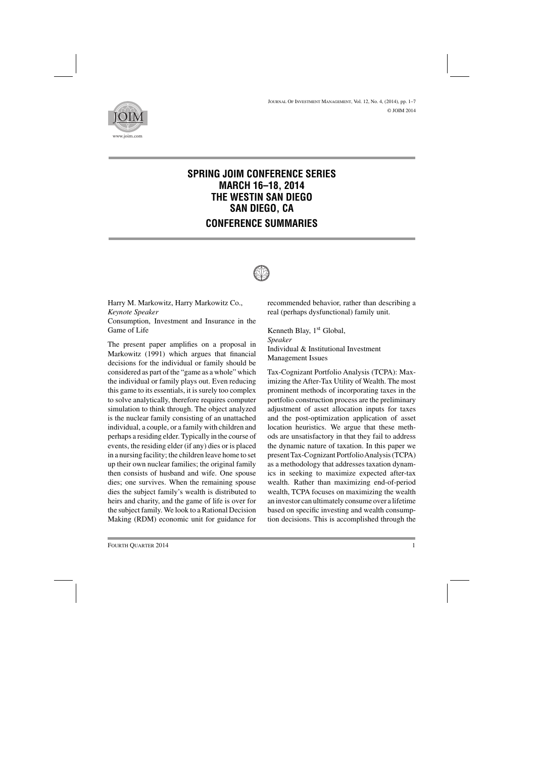

## **SPRING JOIM CONFERENCE SERIES MARCH 16–18, 2014 THE WESTIN SAN DIEGO SAN DIEGO, CA CONFERENCE SUMMARIES**



Harry M. Markowitz, Harry Markowitz Co., *Keynote Speaker* Consumption, Investment and Insurance in the Game of Life

The present paper amplifies on a proposal in Markowitz (1991) which argues that financial decisions for the individual or family should be considered as part of the "game as a whole" which the individual or family plays out. Even reducing this game to its essentials, it is surely too complex to solve analytically, therefore requires computer simulation to think through. The object analyzed is the nuclear family consisting of an unattached individual, a couple, or a family with children and perhaps a residing elder. Typically in the course of events, the residing elder (if any) dies or is placed in a nursing facility; the children leave home to set up their own nuclear families; the original family then consists of husband and wife. One spouse dies; one survives. When the remaining spouse dies the subject family's wealth is distributed to heirs and charity, and the game of life is over for the subject family. We look to a Rational Decision Making (RDM) economic unit for guidance for recommended behavior, rather than describing a real (perhaps dysfunctional) family unit.

Kenneth Blay,  $1<sup>st</sup>$  Global, *Speaker* Individual & Institutional Investment Management Issues

Tax-Cognizant Portfolio Analysis (TCPA): Maximizing the After-Tax Utility of Wealth. The most prominent methods of incorporating taxes in the portfolio construction process are the preliminary adjustment of asset allocation inputs for taxes and the post-optimization application of asset location heuristics. We argue that these methods are unsatisfactory in that they fail to address the dynamic nature of taxation. In this paper we presentTax-Cognizant PortfolioAnalysis (TCPA) as a methodology that addresses taxation dynamics in seeking to maximize expected after-tax wealth. Rather than maximizing end-of-period wealth, TCPA focuses on maximizing the wealth an investor can ultimately consume over a lifetime based on specific investing and wealth consumption decisions. This is accomplished through the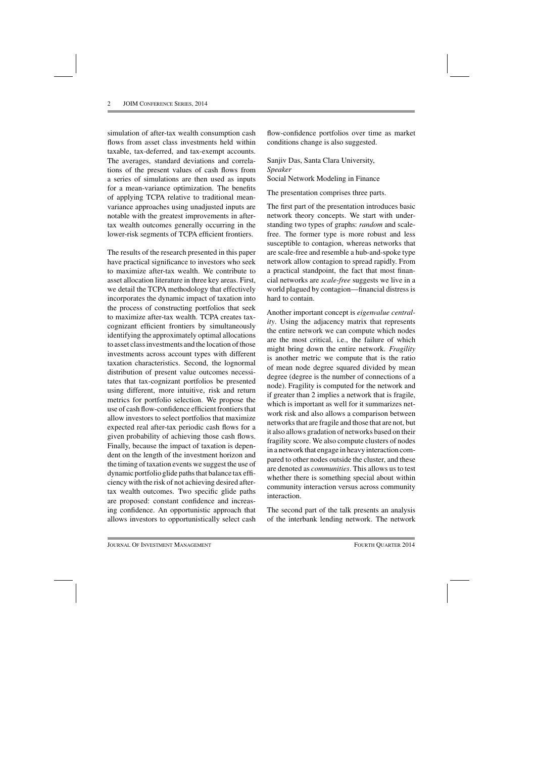simulation of after-tax wealth consumption cash flows from asset class investments held within taxable, tax-deferred, and tax-exempt accounts. The averages, standard deviations and correlations of the present values of cash flows from a series of simulations are then used as inputs for a mean-variance optimization. The benefits of applying TCPA relative to traditional meanvariance approaches using unadjusted inputs are notable with the greatest improvements in aftertax wealth outcomes generally occurring in the lower-risk segments of TCPA efficient frontiers.

The results of the research presented in this paper have practical significance to investors who seek to maximize after-tax wealth. We contribute to asset allocation literature in three key areas. First, we detail the TCPA methodology that effectively incorporates the dynamic impact of taxation into the process of constructing portfolios that seek to maximize after-tax wealth. TCPA creates taxcognizant efficient frontiers by simultaneously identifying the approximately optimal allocations to asset class investments and the location of those investments across account types with different taxation characteristics. Second, the lognormal distribution of present value outcomes necessitates that tax-cognizant portfolios be presented using different, more intuitive, risk and return metrics for portfolio selection. We propose the use of cash flow-confidence efficient frontiers that allow investors to select portfolios that maximize expected real after-tax periodic cash flows for a given probability of achieving those cash flows. Finally, because the impact of taxation is dependent on the length of the investment horizon and the timing of taxation events we suggest the use of dynamic portfolio glide paths that balance tax efficiency with the risk of not achieving desired aftertax wealth outcomes. Two specific glide paths are proposed: constant confidence and increasing confidence. An opportunistic approach that allows investors to opportunistically select cash

flow-confidence portfolios over time as market conditions change is also suggested.

Sanjiv Das, Santa Clara University, *Speaker* Social Network Modeling in Finance

The presentation comprises three parts.

The first part of the presentation introduces basic network theory concepts. We start with understanding two types of graphs: *random* and scalefree. The former type is more robust and less susceptible to contagion, whereas networks that are scale-free and resemble a hub-and-spoke type network allow contagion to spread rapidly. From a practical standpoint, the fact that most financial networks are *scale-free* suggests we live in a world plagued by contagion—financial distress is hard to contain.

Another important concept is *eigenvalue centrality*. Using the adjacency matrix that represents the entire network we can compute which nodes are the most critical, i.e., the failure of which might bring down the entire network. *Fragility* is another metric we compute that is the ratio of mean node degree squared divided by mean degree (degree is the number of connections of a node). Fragility is computed for the network and if greater than 2 implies a network that is fragile, which is important as well for it summarizes network risk and also allows a comparison between networks that are fragile and those that are not, but it also allows gradation of networks based on their fragility score. We also compute clusters of nodes in a network that engage in heavy interaction compared to other nodes outside the cluster, and these are denoted as *communities*. This allows us to test whether there is something special about within community interaction versus across community interaction.

The second part of the talk presents an analysis of the interbank lending network. The network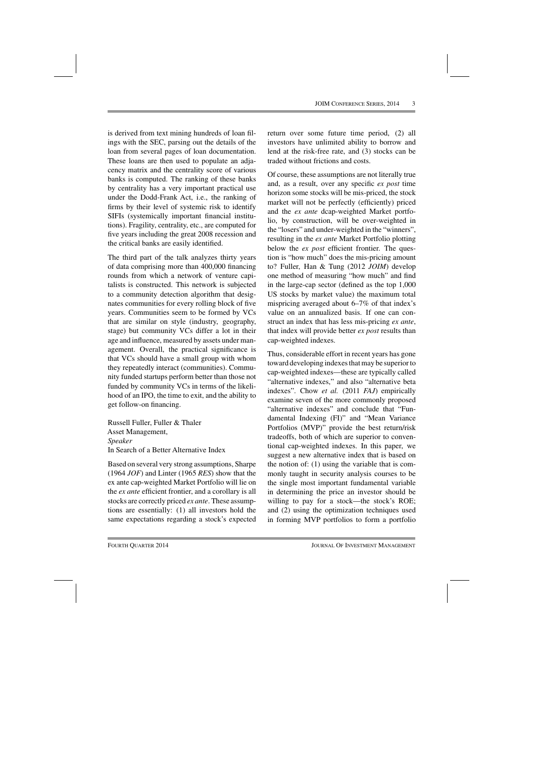is derived from text mining hundreds of loan filings with the SEC, parsing out the details of the loan from several pages of loan documentation. These loans are then used to populate an adjacency matrix and the centrality score of various banks is computed. The ranking of these banks by centrality has a very important practical use under the Dodd-Frank Act, i.e., the ranking of firms by their level of systemic risk to identify SIFIs (systemically important financial institutions). Fragility, centrality, etc., are computed for five years including the great 2008 recession and the critical banks are easily identified.

The third part of the talk analyzes thirty years of data comprising more than 400,000 financing rounds from which a network of venture capitalists is constructed. This network is subjected to a community detection algorithm that designates communities for every rolling block of five years. Communities seem to be formed by VCs that are similar on style (industry, geography, stage) but community VCs differ a lot in their age and influence, measured by assets under management. Overall, the practical significance is that VCs should have a small group with whom they repeatedly interact (communities). Community funded startups perform better than those not funded by community VCs in terms of the likelihood of an IPO, the time to exit, and the ability to get follow-on financing.

Russell Fuller, Fuller & Thaler Asset Management, *Speaker* In Search of a Better Alternative Index

Based on several very strong assumptions, Sharpe (1964 *JOF*) and Linter (1965 *RES*) show that the ex ante cap-weighted Market Portfolio will lie on the *ex ante* efficient frontier, and a corollary is all stocks are correctly priced *ex ante*. These assumptions are essentially: (1) all investors hold the same expectations regarding a stock's expected return over some future time period, (2) all investors have unlimited ability to borrow and lend at the risk-free rate, and (3) stocks can be traded without frictions and costs.

Of course, these assumptions are not literally true and, as a result, over any specific *ex post* time horizon some stocks will be mis-priced, the stock market will not be perfectly (efficiently) priced and the *ex ante* dcap-weighted Market portfolio, by construction, will be over-weighted in the "losers" and under-weighted in the "winners", resulting in the *ex ante* Market Portfolio plotting below the *ex post* efficient frontier. The question is "how much" does the mis-pricing amount to? Fuller, Han & Tung (2012 *JOIM*) develop one method of measuring "how much" and find in the large-cap sector (defined as the top 1,000 US stocks by market value) the maximum total mispricing averaged about 6–7% of that index's value on an annualized basis. If one can construct an index that has less mis-pricing *ex ante*, that index will provide better *ex post* results than cap-weighted indexes.

Thus, considerable effort in recent years has gone toward developing indexes that may be superior to cap-weighted indexes—these are typically called "alternative indexes," and also "alternative beta indexes". Chow *et al.* (2011 *FAJ*) empirically examine seven of the more commonly proposed "alternative indexes" and conclude that "Fundamental Indexing (FI)" and "Mean Variance Portfolios (MVP)" provide the best return/risk tradeoffs, both of which are superior to conventional cap-weighted indexes. In this paper, we suggest a new alternative index that is based on the notion of: (1) using the variable that is commonly taught in security analysis courses to be the single most important fundamental variable in determining the price an investor should be willing to pay for a stock—the stock's ROE; and (2) using the optimization techniques used in forming MVP portfolios to form a portfolio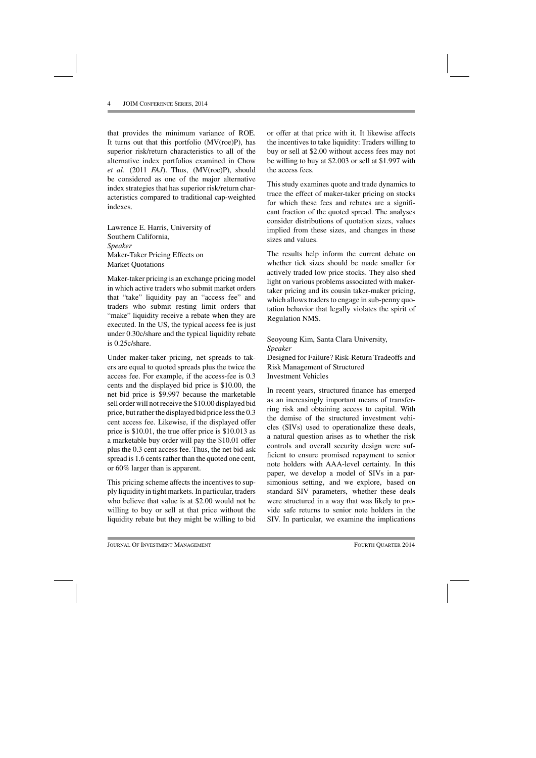that provides the minimum variance of ROE. It turns out that this portfolio (MV(roe)P), has superior risk/return characteristics to all of the alternative index portfolios examined in Chow *et al.* (2011 *FAJ*). Thus, (MV(roe)P), should be considered as one of the major alternative index strategies that has superior risk/return characteristics compared to traditional cap-weighted indexes.

Lawrence E. Harris, University of Southern California, *Speaker* Maker-Taker Pricing Effects on Market Quotations

Maker-taker pricing is an exchange pricing model in which active traders who submit market orders that "take" liquidity pay an "access fee" and traders who submit resting limit orders that "make" liquidity receive a rebate when they are executed. In the US, the typical access fee is just under 0.30c/share and the typical liquidity rebate is 0.25c/share.

Under maker-taker pricing, net spreads to takers are equal to quoted spreads plus the twice the access fee. For example, if the access-fee is 0.3 cents and the displayed bid price is \$10.00, the net bid price is \$9.997 because the marketable sell order will not receive the \$10.00 displayed bid price, but rather the displayed bid price less the 0.3 cent access fee. Likewise, if the displayed offer price is \$10.01, the true offer price is \$10.013 as a marketable buy order will pay the \$10.01 offer plus the 0.3 cent access fee. Thus, the net bid-ask spread is 1.6 cents rather than the quoted one cent, or 60% larger than is apparent.

This pricing scheme affects the incentives to supply liquidity in tight markets. In particular, traders who believe that value is at \$2.00 would not be willing to buy or sell at that price without the liquidity rebate but they might be willing to bid or offer at that price with it. It likewise affects the incentives to take liquidity: Traders willing to buy or sell at \$2.00 without access fees may not be willing to buy at \$2.003 or sell at \$1.997 with the access fees.

This study examines quote and trade dynamics to trace the effect of maker-taker pricing on stocks for which these fees and rebates are a significant fraction of the quoted spread. The analyses consider distributions of quotation sizes, values implied from these sizes, and changes in these sizes and values.

The results help inform the current debate on whether tick sizes should be made smaller for actively traded low price stocks. They also shed light on various problems associated with makertaker pricing and its cousin taker-maker pricing, which allows traders to engage in sub-penny quotation behavior that legally violates the spirit of Regulation NMS.

## Seoyoung Kim, Santa Clara University, *Speaker*

Designed for Failure? Risk-Return Tradeoffs and Risk Management of Structured Investment Vehicles

In recent years, structured finance has emerged as an increasingly important means of transferring risk and obtaining access to capital. With the demise of the structured investment vehicles (SIVs) used to operationalize these deals, a natural question arises as to whether the risk controls and overall security design were sufficient to ensure promised repayment to senior note holders with AAA-level certainty. In this paper, we develop a model of SIVs in a parsimonious setting, and we explore, based on standard SIV parameters, whether these deals were structured in a way that was likely to provide safe returns to senior note holders in the SIV. In particular, we examine the implications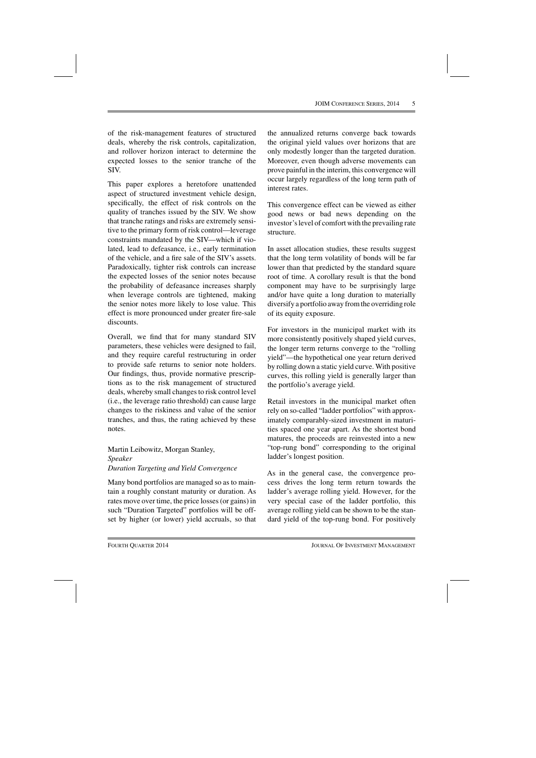of the risk-management features of structured deals, whereby the risk controls, capitalization, and rollover horizon interact to determine the expected losses to the senior tranche of the SIV.

This paper explores a heretofore unattended aspect of structured investment vehicle design, specifically, the effect of risk controls on the quality of tranches issued by the SIV. We show that tranche ratings and risks are extremely sensitive to the primary form of risk control—leverage constraints mandated by the SIV—which if violated, lead to defeasance, i.e., early termination of the vehicle, and a fire sale of the SIV's assets. Paradoxically, tighter risk controls can increase the expected losses of the senior notes because the probability of defeasance increases sharply when leverage controls are tightened, making the senior notes more likely to lose value. This effect is more pronounced under greater fire-sale discounts.

Overall, we find that for many standard SIV parameters, these vehicles were designed to fail, and they require careful restructuring in order to provide safe returns to senior note holders. Our findings, thus, provide normative prescriptions as to the risk management of structured deals, whereby small changes to risk control level (i.e., the leverage ratio threshold) can cause large changes to the riskiness and value of the senior tranches, and thus, the rating achieved by these notes.

Martin Leibowitz, Morgan Stanley, *Speaker Duration Targeting and Yield Convergence*

Many bond portfolios are managed so as to maintain a roughly constant maturity or duration. As rates move over time, the price losses (or gains) in such "Duration Targeted" portfolios will be offset by higher (or lower) yield accruals, so that the annualized returns converge back towards the original yield values over horizons that are only modestly longer than the targeted duration. Moreover, even though adverse movements can prove painful in the interim, this convergence will occur largely regardless of the long term path of interest rates.

This convergence effect can be viewed as either good news or bad news depending on the investor's level of comfort with the prevailing rate structure.

In asset allocation studies, these results suggest that the long term volatility of bonds will be far lower than that predicted by the standard square root of time. A corollary result is that the bond component may have to be surprisingly large and/or have quite a long duration to materially diversify a portfolio away from the overriding role of its equity exposure.

For investors in the municipal market with its more consistently positively shaped yield curves, the longer term returns converge to the "rolling yield"—the hypothetical one year return derived by rolling down a static yield curve. With positive curves, this rolling yield is generally larger than the portfolio's average yield.

Retail investors in the municipal market often rely on so-called "ladder portfolios" with approximately comparably-sized investment in maturities spaced one year apart. As the shortest bond matures, the proceeds are reinvested into a new "top-rung bond" corresponding to the original ladder's longest position.

As in the general case, the convergence process drives the long term return towards the ladder's average rolling yield. However, for the very special case of the ladder portfolio, this average rolling yield can be shown to be the standard yield of the top-rung bond. For positively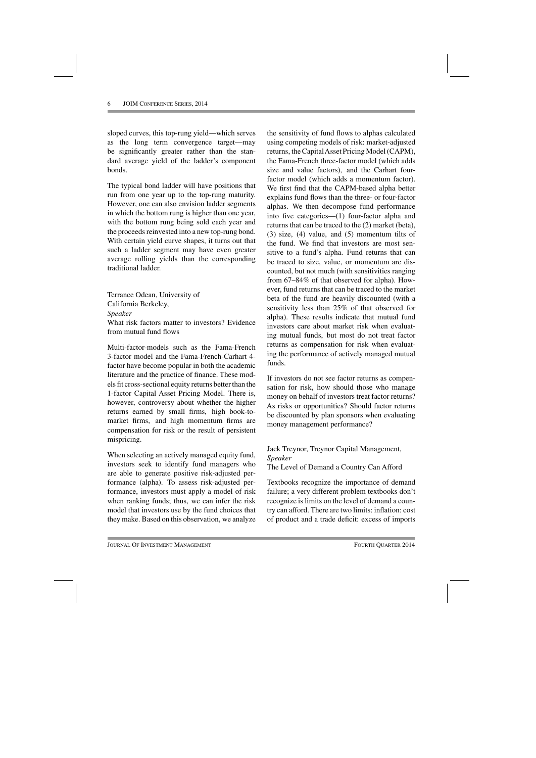sloped curves, this top-rung yield—which serves as the long term convergence target—may be significantly greater rather than the standard average yield of the ladder's component bonds.

The typical bond ladder will have positions that run from one year up to the top-rung maturity. However, one can also envision ladder segments in which the bottom rung is higher than one year, with the bottom rung being sold each year and the proceeds reinvested into a new top-rung bond. With certain yield curve shapes, it turns out that such a ladder segment may have even greater average rolling yields than the corresponding traditional ladder.

Terrance Odean, University of California Berkeley, *Speaker* What risk factors matter to investors? Evidence from mutual fund flows

Multi-factor-models such as the Fama-French 3-factor model and the Fama-French-Carhart 4 factor have become popular in both the academic literature and the practice of finance. These models fit cross-sectional equity returns better than the 1-factor Capital Asset Pricing Model. There is, however, controversy about whether the higher returns earned by small firms, high book-tomarket firms, and high momentum firms are compensation for risk or the result of persistent mispricing.

When selecting an actively managed equity fund, investors seek to identify fund managers who are able to generate positive risk-adjusted performance (alpha). To assess risk-adjusted performance, investors must apply a model of risk when ranking funds; thus, we can infer the risk model that investors use by the fund choices that they make. Based on this observation, we analyze

the sensitivity of fund flows to alphas calculated using competing models of risk: market-adjusted returns, the Capital Asset Pricing Model (CAPM), the Fama-French three-factor model (which adds size and value factors), and the Carhart fourfactor model (which adds a momentum factor). We first find that the CAPM-based alpha better explains fund flows than the three- or four-factor alphas. We then decompose fund performance into five categories—(1) four-factor alpha and returns that can be traced to the (2) market (beta), (3) size, (4) value, and (5) momentum tilts of the fund. We find that investors are most sensitive to a fund's alpha. Fund returns that can be traced to size, value, or momentum are discounted, but not much (with sensitivities ranging from 67–84% of that observed for alpha). However, fund returns that can be traced to the market beta of the fund are heavily discounted (with a sensitivity less than 25% of that observed for alpha). These results indicate that mutual fund investors care about market risk when evaluating mutual funds, but most do not treat factor returns as compensation for risk when evaluating the performance of actively managed mutual funds.

If investors do not see factor returns as compensation for risk, how should those who manage money on behalf of investors treat factor returns? As risks or opportunities? Should factor returns be discounted by plan sponsors when evaluating money management performance?

Jack Treynor, Treynor Capital Management, *Speaker* The Level of Demand a Country Can Afford

Textbooks recognize the importance of demand failure; a very different problem textbooks don't recognize is limits on the level of demand a country can afford. There are two limits: inflation: cost of product and a trade deficit: excess of imports